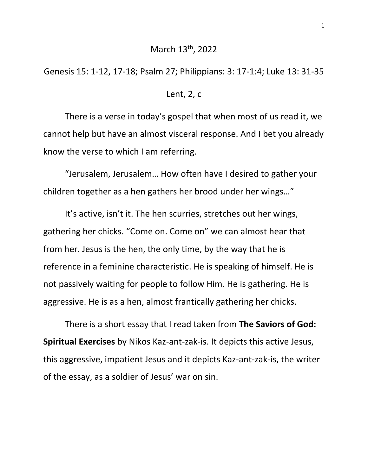## March 13th, 2022

Genesis 15: 1-12, 17-18; Psalm 27; Philippians: 3: 17-1:4; Luke 13: 31-35

## Lent, 2, c

There is a verse in today's gospel that when most of us read it, we cannot help but have an almost visceral response. And I bet you already know the verse to which I am referring.

"Jerusalem, Jerusalem… How often have I desired to gather your children together as a hen gathers her brood under her wings…"

It's active, isn't it. The hen scurries, stretches out her wings, gathering her chicks. "Come on. Come on" we can almost hear that from her. Jesus is the hen, the only time, by the way that he is reference in a feminine characteristic. He is speaking of himself. He is not passively waiting for people to follow Him. He is gathering. He is aggressive. He is as a hen, almost frantically gathering her chicks.

There is a short essay that I read taken from **The Saviors of God: Spiritual Exercises** by Nikos Kaz-ant-zak-is. It depicts this active Jesus, this aggressive, impatient Jesus and it depicts Kaz-ant-zak-is, the writer of the essay, as a soldier of Jesus' war on sin.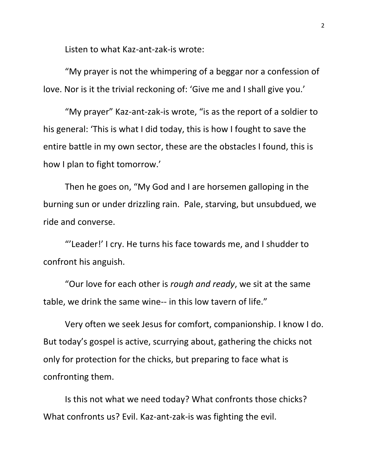Listen to what Kaz-ant-zak-is wrote:

"My prayer is not the whimpering of a beggar nor a confession of love. Nor is it the trivial reckoning of: 'Give me and I shall give you.'

"My prayer" Kaz-ant-zak-is wrote, "is as the report of a soldier to his general: 'This is what I did today, this is how I fought to save the entire battle in my own sector, these are the obstacles I found, this is how I plan to fight tomorrow.'

Then he goes on, "My God and I are horsemen galloping in the burning sun or under drizzling rain. Pale, starving, but unsubdued, we ride and converse.

"'Leader!' I cry. He turns his face towards me, and I shudder to confront his anguish.

"Our love for each other is *rough and ready*, we sit at the same table, we drink the same wine-- in this low tavern of life."

Very often we seek Jesus for comfort, companionship. I know I do. But today's gospel is active, scurrying about, gathering the chicks not only for protection for the chicks, but preparing to face what is confronting them.

Is this not what we need today? What confronts those chicks? What confronts us? Evil. Kaz-ant-zak-is was fighting the evil.